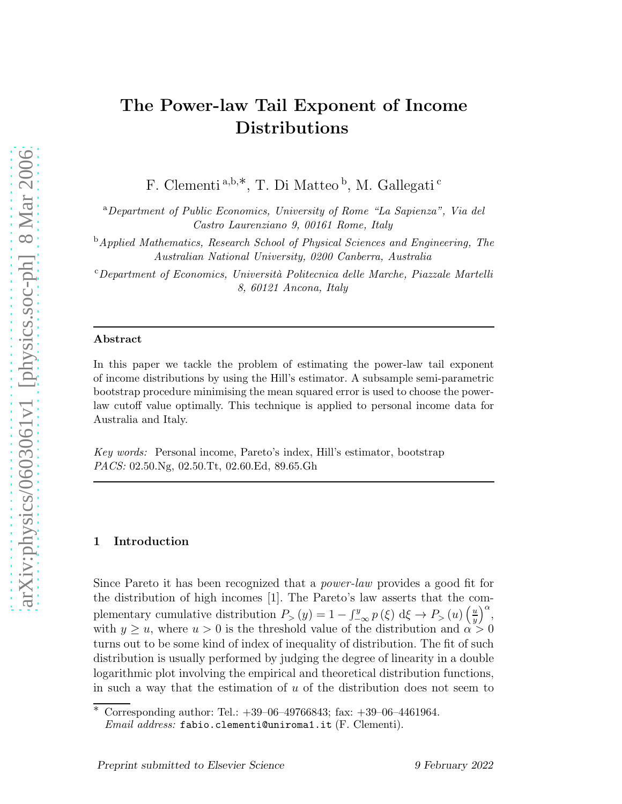# The Power-law Tail Exponent of Income Distributions

F. Clementi<sup>a,b,\*</sup>, T. Di Matteo<sup>b</sup>, M. Gallegati<sup>c</sup>

<sup>a</sup>Department of Public Economics, University of Rome "La Sapienza", Via del Castro Laurenziano 9, 00161 Rome, Italy

<sup>b</sup>Applied Mathematics, Research School of Physical Sciences and Engineering, The Australian National University, 0200 Canberra, Australia

<sup>c</sup>Department of Economics, Universit`a Politecnica delle Marche, Piazzale Martelli 8, 60121 Ancona, Italy

#### Abstract

In this paper we tackle the problem of estimating the power-law tail exponent of income distributions by using the Hill's estimator. A subsample semi-parametric bootstrap procedure minimising the mean squared error is used to choose the powerlaw cutoff value optimally. This technique is applied to personal income data for Australia and Italy.

Key words: Personal income, Pareto's index, Hill's estimator, bootstrap PACS: 02.50.Ng, 02.50.Tt, 02.60.Ed, 89.65.Gh

## 1 Introduction

Since Pareto it has been recognized that a power-law provides a good fit for the distribution of high incomes [1]. The Pareto's law asserts that the complementary cumulative distribution  $P_>(y) = 1 - \int_{-\infty}^{y} p(\xi) d\xi \to P_>(u) \left(\frac{u}{y}\right)$  $\left(\frac{u}{y}\right)^{\alpha}$ with  $y \geq u$ , where  $u > 0$  is the threshold value of the distribution and  $\alpha > 0$ turns out to be some kind of index of inequality of distribution. The fit of such distribution is usually performed by judging the degree of linearity in a double logarithmic plot involving the empirical and theoretical distribution functions, in such a way that the estimation of  $u$  of the distribution does not seem to

<sup>∗</sup> Corresponding author: Tel.: +39–06–49766843; fax: +39–06–4461964. *Email address:* fabio.clementi@uniroma1.it (F. Clementi).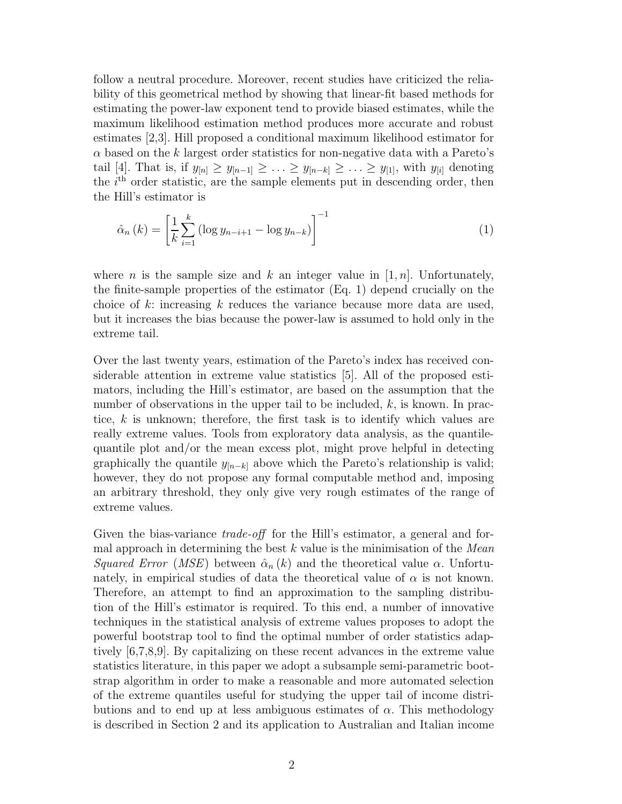follow a neutral procedure. Moreover, recent studies have criticized the reliability of this geometrical method by showing that linear-fit based methods for estimating the power-law exponent tend to provide biased estimates, while the maximum likelihood estimation method produces more accurate and robust estimates [2,3]. Hill proposed a conditional maximum likelihood estimator for  $\alpha$  based on the k largest order statistics for non-negative data with a Pareto's tail [4]. That is, if  $y_{[n]} \geq y_{[n-1]} \geq \ldots \geq y_{[n-k]} \geq \ldots \geq y_{[1]}$ , with  $y_{[i]}$  denoting the  $i<sup>th</sup>$  order statistic, are the sample elements put in descending order, then the Hill's estimator is

$$
\hat{\alpha}_n(k) = \left[\frac{1}{k} \sum_{i=1}^k \left(\log y_{n-i+1} - \log y_{n-k}\right)\right]^{-1}
$$
\n(1)

where *n* is the sample size and k an integer value in  $[1, n]$ . Unfortunately, the finite-sample properties of the estimator (Eq. 1) depend crucially on the choice of k: increasing k reduces the variance because more data are used, but it increases the bias because the power-law is assumed to hold only in the extreme tail.

Over the last twenty years, estimation of the Pareto's index has received considerable attention in extreme value statistics [5]. All of the proposed estimators, including the Hill's estimator, are based on the assumption that the number of observations in the upper tail to be included,  $k$ , is known. In practice,  $k$  is unknown; therefore, the first task is to identify which values are really extreme values. Tools from exploratory data analysis, as the quantilequantile plot and/or the mean excess plot, might prove helpful in detecting graphically the quantile  $y_{[n-k]}$  above which the Pareto's relationship is valid; however, they do not propose any formal computable method and, imposing an arbitrary threshold, they only give very rough estimates of the range of extreme values.

Given the bias-variance  $trade-off$  for the Hill's estimator, a general and formal approach in determining the best  $k$  value is the minimisation of the *Mean* Squared Error (MSE) between  $\hat{\alpha}_n(k)$  and the theoretical value  $\alpha$ . Unfortunately, in empirical studies of data the theoretical value of  $\alpha$  is not known. Therefore, an attempt to find an approximation to the sampling distribution of the Hill's estimator is required. To this end, a number of innovative techniques in the statistical analysis of extreme values proposes to adopt the powerful bootstrap tool to find the optimal number of order statistics adaptively [6,7,8,9]. By capitalizing on these recent advances in the extreme value statistics literature, in this paper we adopt a subsample semi-parametric bootstrap algorithm in order to make a reasonable and more automated selection of the extreme quantiles useful for studying the upper tail of income distributions and to end up at less ambiguous estimates of  $\alpha$ . This methodology is described in Section 2 and its application to Australian and Italian income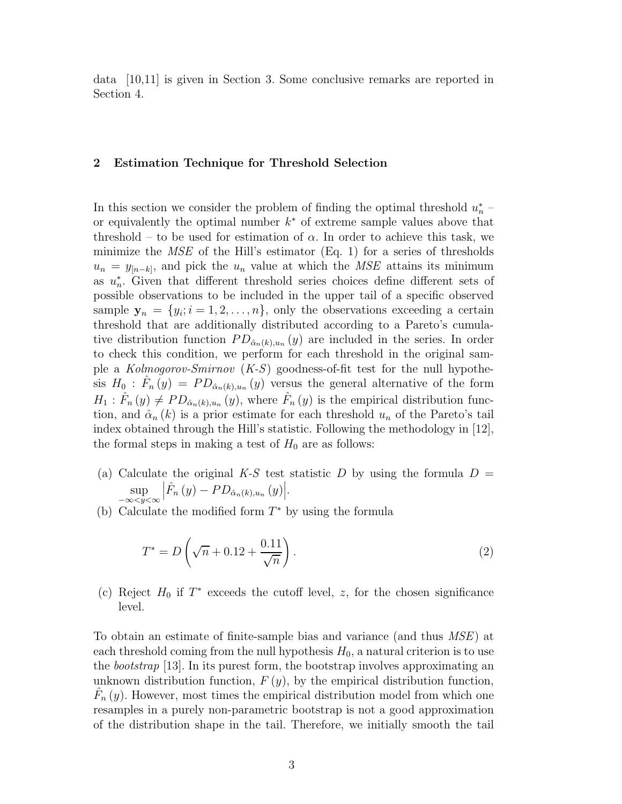data [10,11] is given in Section 3. Some conclusive remarks are reported in Section 4.

## 2 Estimation Technique for Threshold Selection

In this section we consider the problem of finding the optimal threshold  $u_n^*$  $\frac{n}{n}$  – or equivalently the optimal number  $k^*$  of extreme sample values above that threshold – to be used for estimation of  $\alpha$ . In order to achieve this task, we minimize the  $MSE$  of the Hill's estimator (Eq. 1) for a series of thresholds  $u_n = y_{[n-k]}$ , and pick the  $u_n$  value at which the *MSE* attains its minimum as  $u_n^*$ n . Given that different threshold series choices define different sets of possible observations to be included in the upper tail of a specific observed sample  $y_n = \{y_i; i = 1, 2, ..., n\}$ , only the observations exceeding a certain threshold that are additionally distributed according to a Pareto's cumulative distribution function  $PD_{\hat{\alpha}_n(k),u_n}(y)$  are included in the series. In order to check this condition, we perform for each threshold in the original sample a  $Kolmogorov-Smirnov (K-S)$  goodness-of-fit test for the null hypothesis  $H_0$ :  $\hat{F}_n(y) = PD_{\hat{\alpha}_n(k),u_n}(y)$  versus the general alternative of the form  $H_1: \hat{F}_n(y) \neq PD_{\hat{\alpha}_n(k),u_n}(y)$ , where  $\hat{F}_n(y)$  is the empirical distribution function, and  $\hat{\alpha}_n(k)$  is a prior estimate for each threshold  $u_n$  of the Pareto's tail index obtained through the Hill's statistic. Following the methodology in [12], the formal steps in making a test of  $H_0$  are as follows:

- (a) Calculate the original K-S test statistic D by using the formula  $D =$ sup<br>  $-\infty *y* < \infty$  $\left| \hat{F}_n(y) - PD_{\hat{\alpha}_n(k),u_n}(y) \right|.$
- (b) Calculate the modified form  $T^*$  by using the formula

$$
T^* = D\left(\sqrt{n} + 0.12 + \frac{0.11}{\sqrt{n}}\right).
$$
 (2)

(c) Reject  $H_0$  if  $T^*$  exceeds the cutoff level, z, for the chosen significance level.

To obtain an estimate of finite-sample bias and variance (and thus MSE) at each threshold coming from the null hypothesis  $H_0$ , a natural criterion is to use the bootstrap [13]. In its purest form, the bootstrap involves approximating an unknown distribution function,  $F(y)$ , by the empirical distribution function,  $\hat{F}_n(y)$ . However, most times the empirical distribution model from which one resamples in a purely non-parametric bootstrap is not a good approximation of the distribution shape in the tail. Therefore, we initially smooth the tail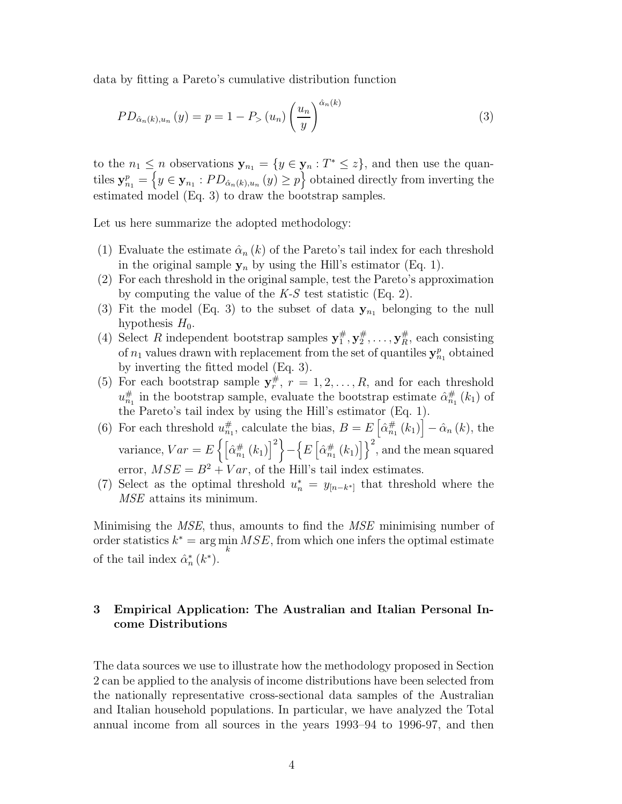data by fitting a Pareto's cumulative distribution function

$$
PD_{\hat{\alpha}_n(k), u_n}(y) = p = 1 - P_{>}(u_n) \left(\frac{u_n}{y}\right)^{\hat{\alpha}_n(k)}
$$
\n(3)

to the  $n_1 \leq n$  observations  $\mathbf{y}_{n_1} = \{y \in \mathbf{y}_n : T^* \leq z\}$ , and then use the quantiles  $y_{n_1}^p = \left\{ y \in \mathbf{y}_{n_1} : PD_{\hat{\alpha}_n(k), u_n}(y) \geq p \right\}$  obtained directly from inverting the estimated model (Eq. 3) to draw the bootstrap samples.

Let us here summarize the adopted methodology:

- (1) Evaluate the estimate  $\hat{\alpha}_n(k)$  of the Pareto's tail index for each threshold in the original sample  $y_n$  by using the Hill's estimator (Eq. 1).
- (2) For each threshold in the original sample, test the Pareto's approximation by computing the value of the  $K-S$  test statistic (Eq. 2).
- (3) Fit the model (Eq. 3) to the subset of data  $y_{n_1}$  belonging to the null hypothesis  $H_0$ .
- (4) Select R independent bootstrap samples  $y_1^{\#}$  $_1^{\#},\mathbf{y}^{\#}_2$  $x_2^{\#}, \ldots, \mathbf{y}_R^{\#},$  each consisting of  $n_1$  values drawn with replacement from the set of quantiles  $y_{n_1}^p$  obtained by inverting the fitted model (Eq. 3).
- (5) For each bootstrap sample  $y_r^{\#}$ ,  $r = 1, 2, ..., R$ , and for each threshold  $u_{n_1}^{\#}$  in the bootstrap sample, evaluate the bootstrap estimate  $\hat{\alpha}_{n_1}^{\#}(k_1)$  of the Pareto's tail index by using the Hill's estimator (Eq. 1).
- (6) For each threshold  $u_{n_1}^{\#}$ , calculate the bias,  $B = E\left[\hat{\alpha}_{n_1}^{\#}(k_1)\right] \hat{\alpha}_n(k)$ , the variance,  $Var = E\left\{ \left[ \hat{\alpha}_{n_1}^{\#}(k_1) \right]^2 \right\}$  $-\left\{ E\left[\hat{\alpha}_{n_{1}}^{\#}\left(k_{1}\right)\right]\right\} ^{2}$ , and the mean squared error,  $MSE = B^2 + Var$ , of the Hill's tail index estimates.
- (7) Select as the optimal threshold  $u_n^* = y_{[n-k^*]}$  that threshold where the MSE attains its minimum.

Minimising the MSE, thus, amounts to find the MSE minimising number of order statistics  $k^* = \arg\min_k MSE$ , from which one infers the optimal estimate of the tail index  $\hat{\alpha}_n^*$  $_{n}^{*}(k^{*}).$ 

## 3 Empirical Application: The Australian and Italian Personal Income Distributions

The data sources we use to illustrate how the methodology proposed in Section 2 can be applied to the analysis of income distributions have been selected from the nationally representative cross-sectional data samples of the Australian and Italian household populations. In particular, we have analyzed the Total annual income from all sources in the years 1993–94 to 1996-97, and then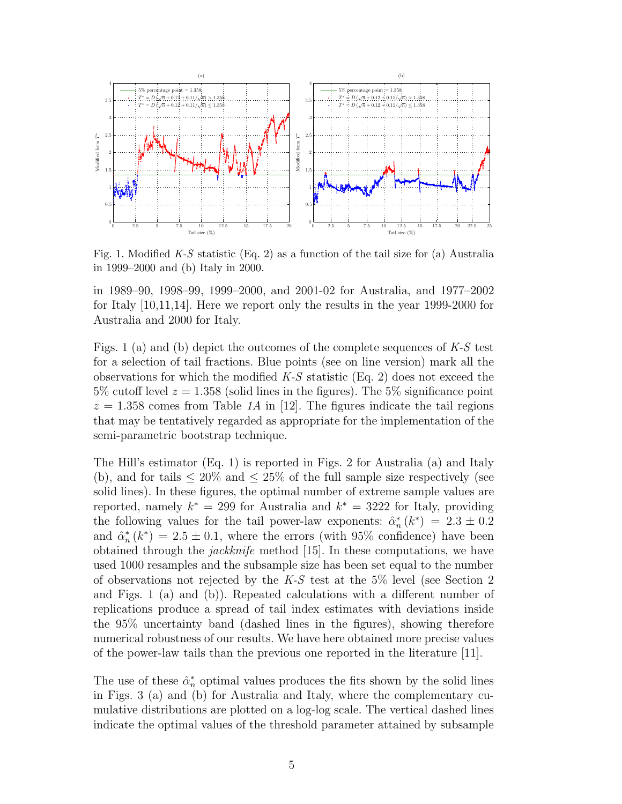

Fig. 1. Modified  $K-S$  statistic (Eq. 2) as a function of the tail size for (a) Australia in 1999–2000 and (b) Italy in 2000.

in 1989–90, 1998–99, 1999–2000, and 2001-02 for Australia, and 1977–2002 for Italy [10,11,14]. Here we report only the results in the year 1999-2000 for Australia and 2000 for Italy.

Figs. 1 (a) and (b) depict the outcomes of the complete sequences of  $K-S$  test for a selection of tail fractions. Blue points (see on line version) mark all the observations for which the modified  $K-S$  statistic (Eq. 2) does not exceed the 5% cutoff level  $z = 1.358$  (solid lines in the figures). The 5% significance point  $z = 1.358$  comes from Table 1A in [12]. The figures indicate the tail regions that may be tentatively regarded as appropriate for the implementation of the semi-parametric bootstrap technique.

The Hill's estimator (Eq. 1) is reported in Figs. 2 for Australia (a) and Italy (b), and for tails  $\leq 20\%$  and  $\leq 25\%$  of the full sample size respectively (see solid lines). In these figures, the optimal number of extreme sample values are reported, namely  $k^* = 299$  for Australia and  $k^* = 3222$  for Italy, providing the following values for the tail power-law exponents:  $\hat{\alpha}_n^*$  $n \choose n (k^*) = 2.3 \pm 0.2$ and  $\hat{\alpha}_n^*$  $h_n^*(k^*) = 2.5 \pm 0.1$ , where the errors (with 95% confidence) have been obtained through the *jackknife* method [15]. In these computations, we have used 1000 resamples and the subsample size has been set equal to the number of observations not rejected by the  $K-S$  test at the 5% level (see Section 2) and Figs. 1 (a) and (b)). Repeated calculations with a different number of replications produce a spread of tail index estimates with deviations inside the 95% uncertainty band (dashed lines in the figures), showing therefore numerical robustness of our results. We have here obtained more precise values of the power-law tails than the previous one reported in the literature [11].

The use of these  $\hat{\alpha}_n^*$  optimal values produces the fits shown by the solid lines in Figs. 3 (a) and (b) for Australia and Italy, where the complementary cumulative distributions are plotted on a log-log scale. The vertical dashed lines indicate the optimal values of the threshold parameter attained by subsample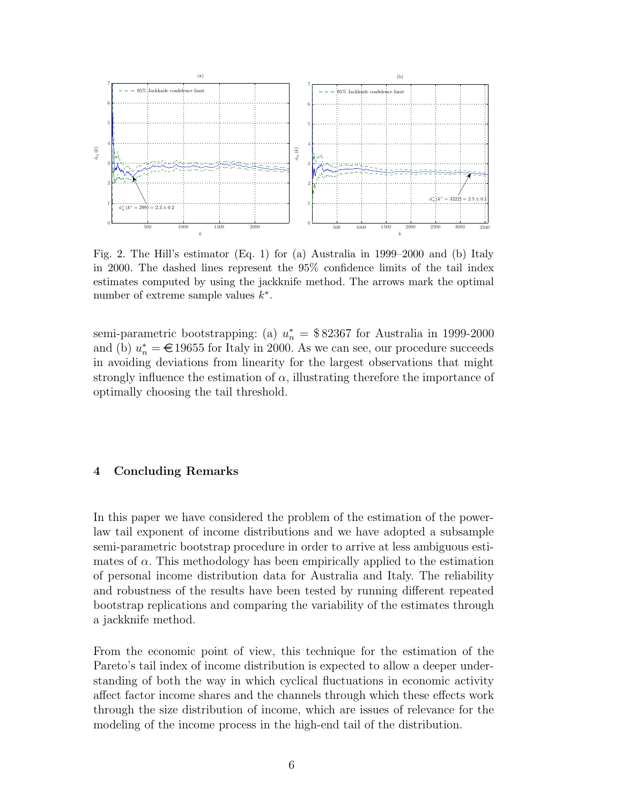



Fig. 2. The Hill's estimator (Eq. 1) for (a) Australia in 1999–2000 and (b) Italy in 2000. The dashed lines represent the 95% confidence limits of the tail index estimates computed by using the jackknife method. The arrows mark the optimal number of extreme sample values  $k^*$ .

semi-parametric bootstrapping: (a)  $u_n^* = $82367$  for Australia in 1999-2000 and (b)  $u_n^* = \epsilon$  19655 for Italy in 2000. As we can see, our procedure succeeds in avoiding deviations from linearity for the largest observations that might strongly influence the estimation of  $\alpha$ , illustrating therefore the importance of optimally choosing the tail threshold.

## 4 Concluding Remarks

In this paper we have considered the problem of the estimation of the powerlaw tail exponent of income distributions and we have adopted a subsample semi-parametric bootstrap procedure in order to arrive at less ambiguous estimates of  $\alpha$ . This methodology has been empirically applied to the estimation of personal income distribution data for Australia and Italy. The reliability and robustness of the results have been tested by running different repeated bootstrap replications and comparing the variability of the estimates through a jackknife method.

From the economic point of view, this technique for the estimation of the Pareto's tail index of income distribution is expected to allow a deeper understanding of both the way in which cyclical fluctuations in economic activity affect factor income shares and the channels through which these effects work through the size distribution of income, which are issues of relevance for the modeling of the income process in the high-end tail of the distribution.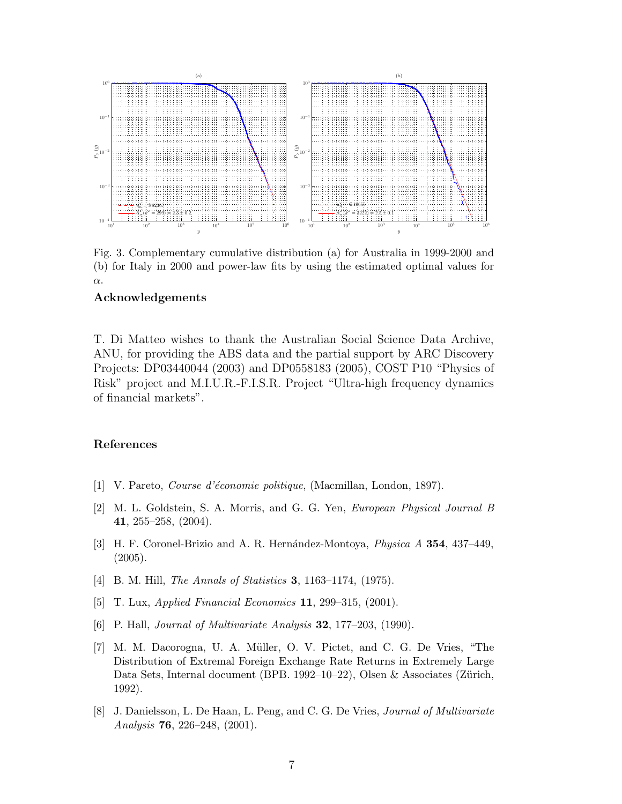

Fig. 3. Complementary cumulative distribution (a) for Australia in 1999-2000 and (b) for Italy in 2000 and power-law fits by using the estimated optimal values for α.

## Acknowledgements

T. Di Matteo wishes to thank the Australian Social Science Data Archive, ANU, for providing the ABS data and the partial support by ARC Discovery Projects: DP03440044 (2003) and DP0558183 (2005), COST P10 "Physics of Risk" project and M.I.U.R.-F.I.S.R. Project "Ultra-high frequency dynamics of financial markets".

### References

- [1] V. Pareto, Course d'économie politique, (Macmillan, London, 1897).
- [2] M. L. Goldstein, S. A. Morris, and G. G. Yen, European Physical Journal B 41, 255–258, (2004).
- [3] H. F. Coronel-Brizio and A. R. Hernández-Montoya, *Physica A* **354**, 437–449, (2005).
- [4] B. M. Hill, *The Annals of Statistics* **3**, 1163–1174, (1975).
- [5] T. Lux, Applied Financial Economics 11, 299–315, (2001).
- [6] P. Hall, *Journal of Multivariate Analysis* **32**, 177–203, (1990).
- [7] M. M. Dacorogna, U. A. M¨uller, O. V. Pictet, and C. G. De Vries, "The Distribution of Extremal Foreign Exchange Rate Returns in Extremely Large Data Sets, Internal document (BPB. 1992–10–22), Olsen & Associates (Zürich, 1992).
- [8] J. Danielsson, L. De Haan, L. Peng, and C. G. De Vries, Journal of Multivariate Analysis 76, 226–248, (2001).